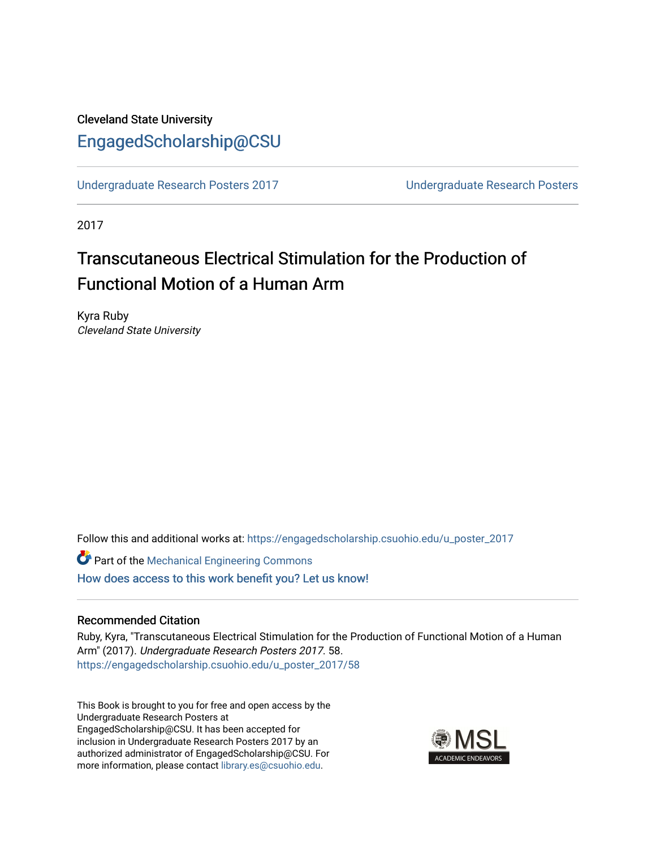## Cleveland State University [EngagedScholarship@CSU](https://engagedscholarship.csuohio.edu/)

[Undergraduate Research Posters 2017](https://engagedscholarship.csuohio.edu/u_poster_2017) [Undergraduate Research Posters](https://engagedscholarship.csuohio.edu/u_poster) 

2017

# Transcutaneous Electrical Stimulation for the Production of Functional Motion of a Human Arm

Kyra Ruby Cleveland State University

Follow this and additional works at: [https://engagedscholarship.csuohio.edu/u\\_poster\\_2017](https://engagedscholarship.csuohio.edu/u_poster_2017?utm_source=engagedscholarship.csuohio.edu%2Fu_poster_2017%2F58&utm_medium=PDF&utm_campaign=PDFCoverPages) 

**C** Part of the Mechanical Engineering Commons [How does access to this work benefit you? Let us know!](http://library.csuohio.edu/engaged/)

#### Recommended Citation

Ruby, Kyra, "Transcutaneous Electrical Stimulation for the Production of Functional Motion of a Human Arm" (2017). Undergraduate Research Posters 2017. 58. [https://engagedscholarship.csuohio.edu/u\\_poster\\_2017/58](https://engagedscholarship.csuohio.edu/u_poster_2017/58?utm_source=engagedscholarship.csuohio.edu%2Fu_poster_2017%2F58&utm_medium=PDF&utm_campaign=PDFCoverPages) 

This Book is brought to you for free and open access by the Undergraduate Research Posters at EngagedScholarship@CSU. It has been accepted for inclusion in Undergraduate Research Posters 2017 by an authorized administrator of EngagedScholarship@CSU. For more information, please contact [library.es@csuohio.edu](mailto:library.es@csuohio.edu).